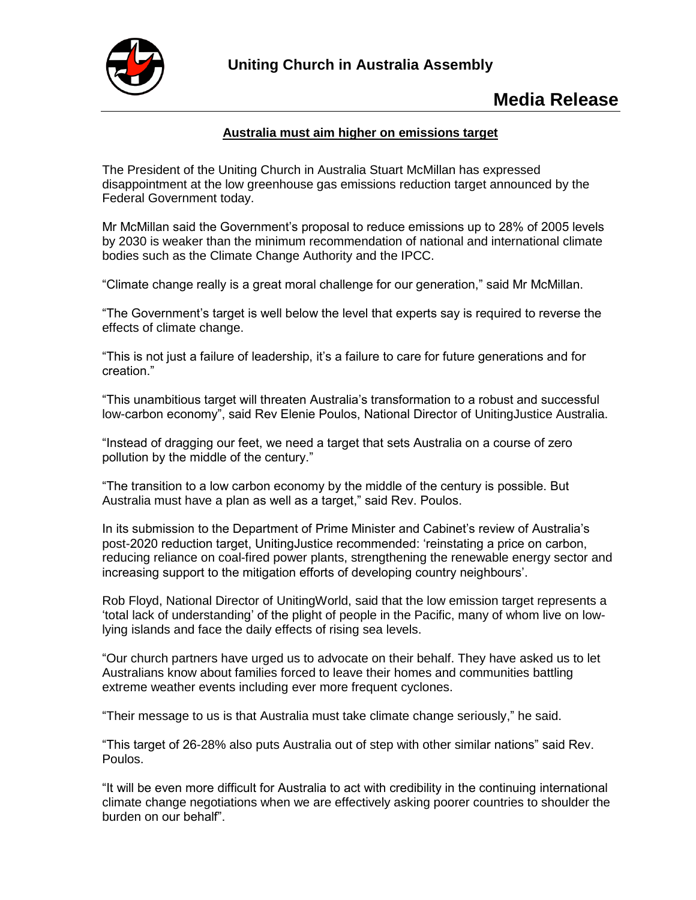

## **Media Release**

## **Australia must aim higher on emissions target**

The President of the Uniting Church in Australia Stuart McMillan has expressed disappointment at the low greenhouse gas emissions reduction target announced by the Federal Government today.

Mr McMillan said the Government's proposal to reduce emissions up to 28% of 2005 levels by 2030 is weaker than the minimum recommendation of national and international climate bodies such as the Climate Change Authority and the IPCC.

"Climate change really is a great moral challenge for our generation," said Mr McMillan.

"The Government's target is well below the level that experts say is required to reverse the effects of climate change.

"This is not just a failure of leadership, it's a failure to care for future generations and for creation."

"This unambitious target will threaten Australia's transformation to a robust and successful low-carbon economy", said Rev Elenie Poulos, National Director of UnitingJustice Australia.

"Instead of dragging our feet, we need a target that sets Australia on a course of zero pollution by the middle of the century."

"The transition to a low carbon economy by the middle of the century is possible. But Australia must have a plan as well as a target," said Rev. Poulos.

In its submission to the Department of Prime Minister and Cabinet's review of Australia's post-2020 reduction target, UnitingJustice recommended: 'reinstating a price on carbon, reducing reliance on coal-fired power plants, strengthening the renewable energy sector and increasing support to the mitigation efforts of developing country neighbours'.

Rob Floyd, National Director of UnitingWorld, said that the low emission target represents a 'total lack of understanding' of the plight of people in the Pacific, many of whom live on lowlying islands and face the daily effects of rising sea levels.

"Our church partners have urged us to advocate on their behalf. They have asked us to let Australians know about families forced to leave their homes and communities battling extreme weather events including ever more frequent cyclones.

"Their message to us is that Australia must take climate change seriously," he said.

"This target of 26-28% also puts Australia out of step with other similar nations" said Rev. Poulos.

"It will be even more difficult for Australia to act with credibility in the continuing international climate change negotiations when we are effectively asking poorer countries to shoulder the burden on our behalf".